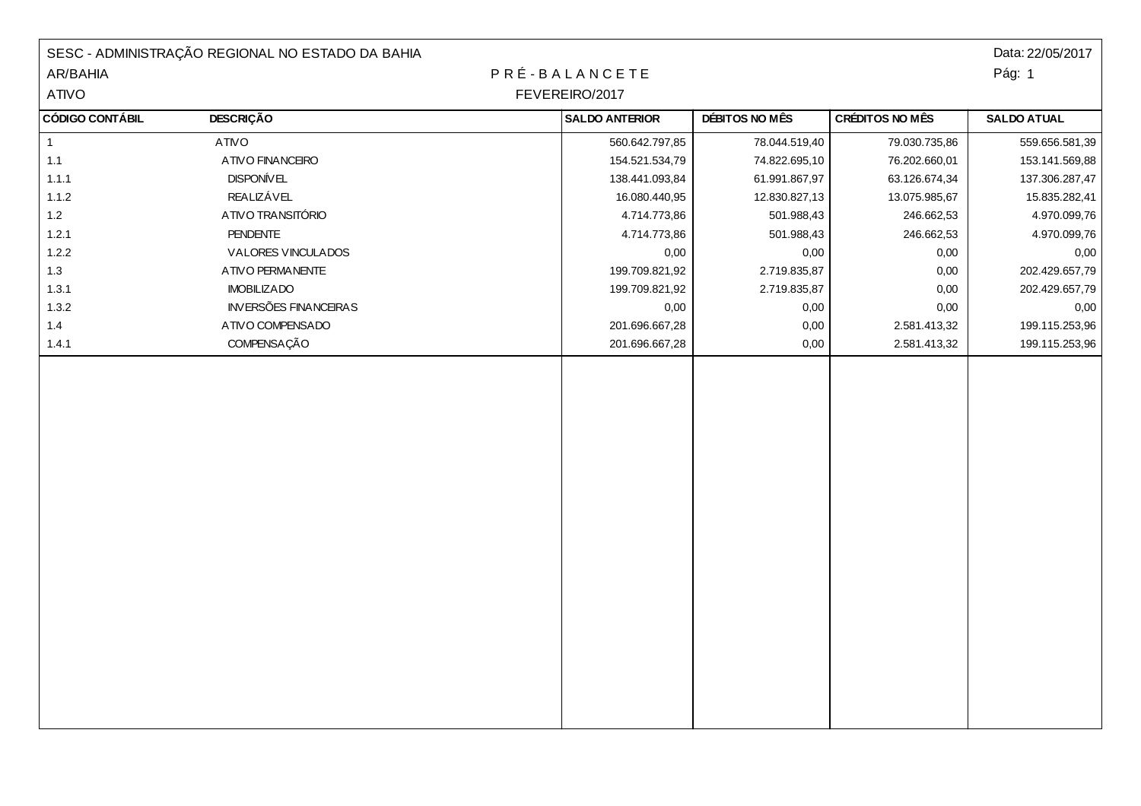|                        | SESC - ADMINISTRAÇÃO REGIONAL NO ESTADO DA BAHIA |  |                       |                |                 | Data: 22/05/2017   |
|------------------------|--------------------------------------------------|--|-----------------------|----------------|-----------------|--------------------|
| AR/BAHIA               |                                                  |  | PRÉ-BALANCETE         |                |                 | Pág: 1             |
| ATIVO                  | FEVEREIRO/2017                                   |  |                       |                |                 |                    |
| <b>CÓDIGO CONTÁBIL</b> | <b>DESCRIÇÃO</b>                                 |  | <b>SALDO ANTERIOR</b> | DÉBITOS NO MÊS | CRÉDITOS NO MÊS | <b>SALDO ATUAL</b> |
| $\mathbf{1}$           | <b>ATIVO</b>                                     |  | 560.642.797,85        | 78.044.519,40  | 79.030.735,86   | 559.656.581,39     |
| $1.1$                  | ATIVO FINANCEIRO                                 |  | 154.521.534,79        | 74.822.695,10  | 76.202.660,01   | 153.141.569,88     |
| 1.1.1                  | <b>DISPONÍVEL</b>                                |  | 138.441.093,84        | 61.991.867,97  | 63.126.674,34   | 137.306.287,47     |
| 1.1.2                  | <b>REALIZÁVEL</b>                                |  | 16.080.440,95         | 12.830.827,13  | 13.075.985,67   | 15.835.282,41      |
| $1.2$                  | ATIVO TRANSITÓRIO                                |  | 4.714.773,86          | 501.988,43     | 246.662,53      | 4.970.099,76       |
| 1.2.1                  | <b>PENDENTE</b>                                  |  | 4.714.773,86          | 501.988,43     | 246.662,53      | 4.970.099,76       |
| 1.2.2                  | VALORES VINCULADOS                               |  | 0,00                  | 0,00           | 0,00            | 0,00               |
| 1.3                    | ATIVO PERMANENTE                                 |  | 199.709.821,92        | 2.719.835,87   | 0,00            | 202.429.657,79     |
| 1.3.1                  | <b>IMOBILIZADO</b>                               |  | 199.709.821,92        | 2.719.835,87   | 0,00            | 202.429.657,79     |
| 1.3.2                  | <b>INVERSÕES FINANCEIRAS</b>                     |  | 0,00                  | 0,00           | 0,00            | 0,00               |
| 1.4                    | ATIVO COMPENSADO                                 |  | 201.696.667,28        | 0,00           | 2.581.413,32    | 199.115.253,96     |
| 1.4.1                  | COMPENSAÇÃO                                      |  | 201.696.667,28        | 0,00           | 2.581.413,32    | 199.115.253,96     |
|                        |                                                  |  |                       |                |                 |                    |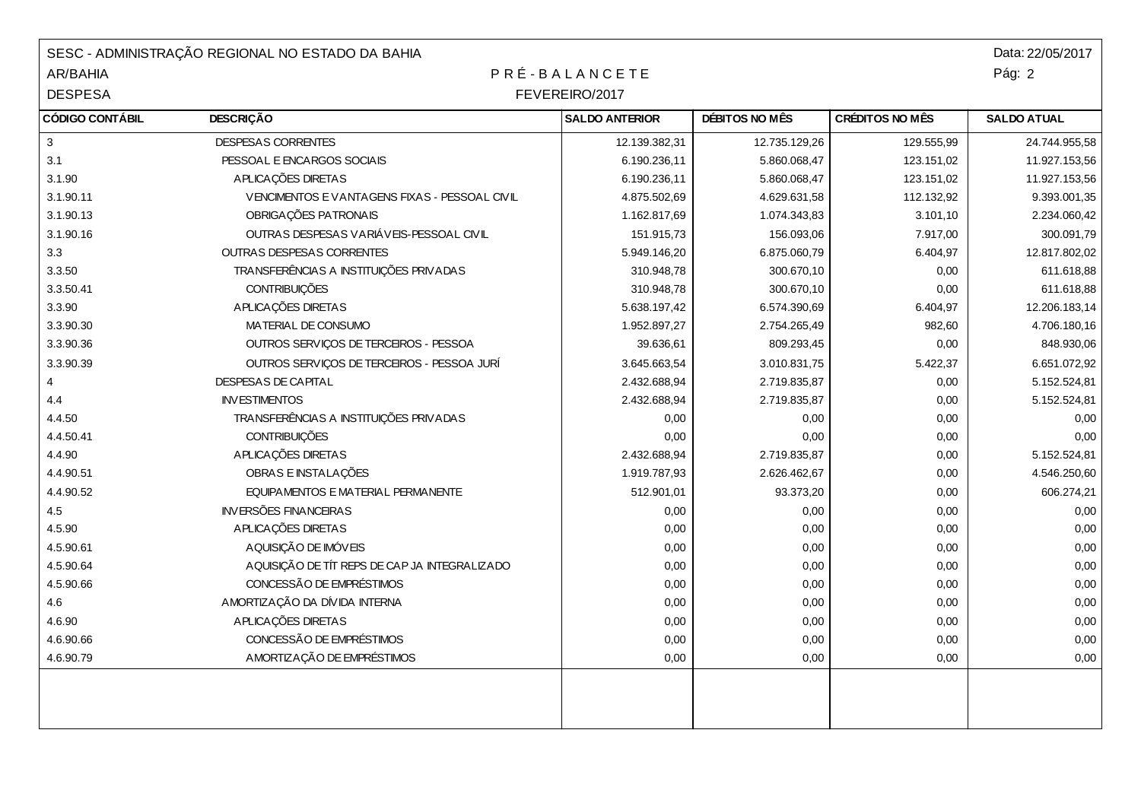| SESC - ADMINISTRAÇÃO REGIONAL NO ESTADO DA BAHIA |                                               |                       |                |                        | Data: 22/05/2017   |  |  |
|--------------------------------------------------|-----------------------------------------------|-----------------------|----------------|------------------------|--------------------|--|--|
| <b>AR/BAHIA</b>                                  | PRÉ-BALANCETE                                 |                       |                | Pág: 2                 |                    |  |  |
| <b>DESPESA</b>                                   |                                               | FEVEREIRO/2017        |                |                        |                    |  |  |
| <b>CÓDIGO CONTÁBIL</b>                           | <b>DESCRIÇÃO</b>                              | <b>SALDO ANTERIOR</b> | DÉBITOS NO MÊS | <b>CRÉDITOS NO MÊS</b> | <b>SALDO ATUAL</b> |  |  |
| $\ensuremath{\mathsf{3}}$                        | DESPESAS CORRENTES                            | 12.139.382,31         | 12.735.129,26  | 129.555,99             | 24.744.955,58      |  |  |
| 3.1                                              | PESSOAL E ENCARGOS SOCIAIS                    | 6.190.236,11          | 5.860.068,47   | 123.151,02             | 11.927.153,56      |  |  |
| 3.1.90                                           | APLICAÇÕES DIRETAS                            | 6.190.236,11          | 5.860.068,47   | 123.151,02             | 11.927.153,56      |  |  |
| 3.1.90.11                                        | VENCIMENTOS E VANTAGENS FIXAS - PESSOAL CIVIL | 4.875.502,69          | 4.629.631,58   | 112.132,92             | 9.393.001,35       |  |  |
| 3.1.90.13                                        | OBRIGAÇÕES PATRONAIS                          | 1.162.817,69          | 1.074.343,83   | 3.101,10               | 2.234.060,42       |  |  |
| 3.1.90.16                                        | OUTRAS DESPESAS VARIÁVEIS-PESSOAL CIVIL       | 151.915,73            | 156.093,06     | 7.917,00               | 300.091,79         |  |  |
| 3.3                                              | <b>OUTRAS DESPESAS CORRENTES</b>              | 5.949.146,20          | 6.875.060,79   | 6.404,97               | 12.817.802,02      |  |  |
| 3.3.50                                           | TRANSFERÊNCIAS A INSTITUIÇÕES PRIVADAS        | 310.948,78            | 300.670,10     | 0,00                   | 611.618,88         |  |  |
| 3.3.50.41                                        | <b>CONTRIBUIÇÕES</b>                          | 310.948,78            | 300.670,10     | 0,00                   | 611.618,88         |  |  |
| 3.3.90                                           | APLICAÇÕES DIRETAS                            | 5.638.197,42          | 6.574.390,69   | 6.404,97               | 12.206.183,14      |  |  |
| 3.3.90.30                                        | MATERIAL DE CONSUMO                           | 1.952.897,27          | 2.754.265,49   | 982,60                 | 4.706.180,16       |  |  |
| 3.3.90.36                                        | OUTROS SERVIÇOS DE TERCEIROS - PESSOA         | 39.636,61             | 809.293,45     | 0,00                   | 848.930,06         |  |  |
| 3.3.90.39                                        | OUTROS SERVIÇOS DE TERCEIROS - PESSOA JURÍ    | 3.645.663,54          | 3.010.831,75   | 5.422,37               | 6.651.072,92       |  |  |
| $\overline{4}$                                   | DESPESAS DE CAPITAL                           | 2.432.688,94          | 2.719.835,87   | 0,00                   | 5.152.524,81       |  |  |
| 4.4                                              | <b>INVESTIMENTOS</b>                          | 2.432.688,94          | 2.719.835,87   | 0,00                   | 5.152.524,81       |  |  |
| 4.4.50                                           | TRANSFERÊNCIAS A INSTITUIÇÕES PRIVADAS        | 0,00                  | 0,00           | 0,00                   | 0,00               |  |  |
| 4.4.50.41                                        | <b>CONTRIBUIÇÕES</b>                          | 0,00                  | 0,00           | 0,00                   | 0,00               |  |  |
| 4.4.90                                           | APLICAÇÕES DIRETAS                            | 2.432.688,94          | 2.719.835,87   | 0,00                   | 5.152.524,81       |  |  |
| 4.4.90.51                                        | OBRAS E INSTALAÇÕES                           | 1.919.787,93          | 2.626.462,67   | 0,00                   | 4.546.250,60       |  |  |
| 4.4.90.52                                        | EQUIPAMENTOS E MATERIAL PERMANENTE            | 512.901,01            | 93.373,20      | 0,00                   | 606.274,21         |  |  |
| 4.5                                              | <b>INVERSÕES FINANCEIRAS</b>                  | 0,00                  | 0,00           | 0,00                   | 0,00               |  |  |
| 4.5.90                                           | APLICAÇÕES DIRETAS                            | 0,00                  | 0,00           | 0,00                   | 0,00               |  |  |
| 4.5.90.61                                        | A QUISIÇÃO DE IMÓVEIS                         | 0,00                  | 0,00           | 0,00                   | 0,00               |  |  |
| 4.5.90.64                                        | AQUISIÇÃO DE TÍT REPS DE CAP JA INTEGRALIZADO | 0,00                  | 0,00           | 0,00                   | 0,00               |  |  |
| 4.5.90.66                                        | CONCESSÃO DE EMPRÉSTIMOS                      | 0,00                  | 0,00           | 0,00                   | 0,00               |  |  |
| 4.6                                              | AMORTIZAÇÃO DA DÍVIDA INTERNA                 | 0,00                  | 0,00           | 0,00                   | 0,00               |  |  |
| 4.6.90                                           | APLICAÇÕES DIRETAS                            | 0,00                  | 0,00           | 0,00                   | 0,00               |  |  |
| 4.6.90.66                                        | CONCESSÃO DE EMPRÉSTIMOS                      | 0,00                  | 0,00           | 0,00                   | 0,00               |  |  |
| 4.6.90.79                                        | AMORTIZAÇÃO DE EMPRÉSTIMOS                    | 0,00                  | 0,00           | 0,00                   | 0,00               |  |  |
|                                                  |                                               |                       |                |                        |                    |  |  |
|                                                  |                                               |                       |                |                        |                    |  |  |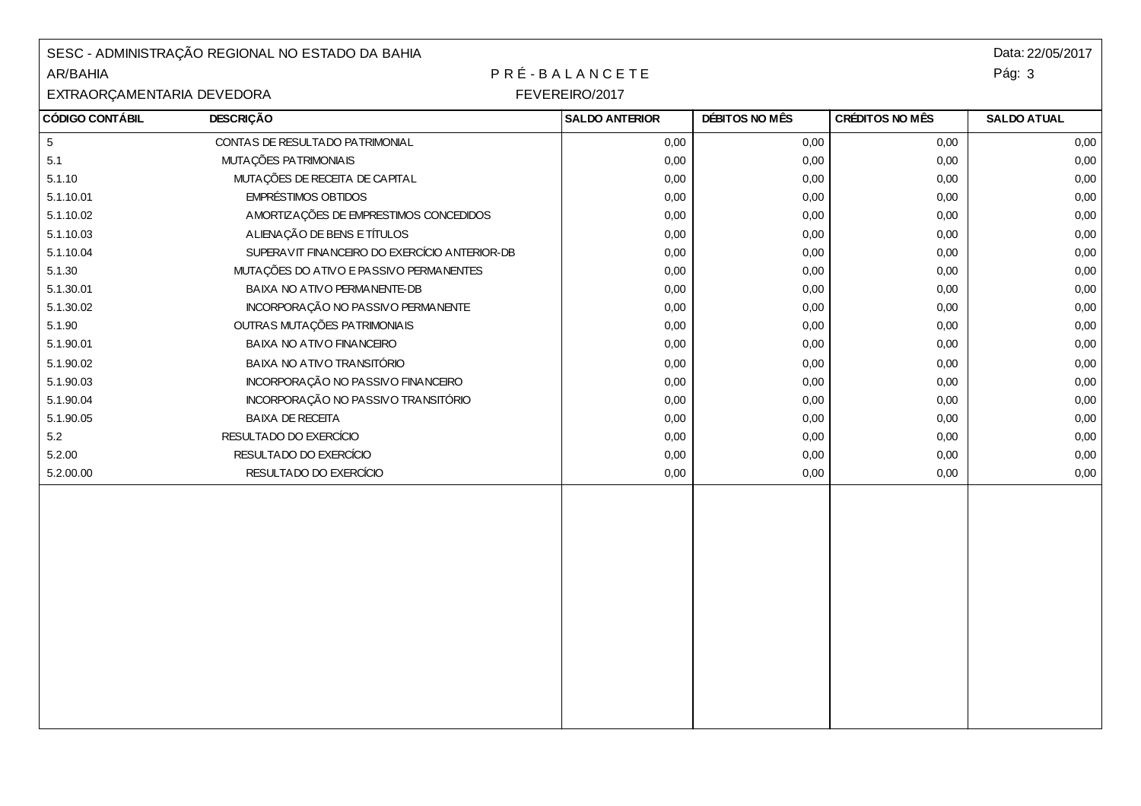| SESC - ADMINISTRAÇÃO REGIONAL NO ESTADO DA BAHIA<br>PRÉ-BALANCETE<br>AR/BAHIA |                                               |                       |                |                 | Data: 22/05/2017<br>Pág: 3 |
|-------------------------------------------------------------------------------|-----------------------------------------------|-----------------------|----------------|-----------------|----------------------------|
| FEVEREIRO/2017<br>EXTRAORÇAMENTARIA DEVEDORA                                  |                                               |                       |                |                 |                            |
| <b>CÓDIGO CONTÁBIL</b>                                                        | <b>DESCRIÇÃO</b>                              | <b>SALDO ANTERIOR</b> | DÉBITOS NO MÊS | CRÉDITOS NO MÊS | <b>SALDO ATUAL</b>         |
| $\sqrt{5}$                                                                    | CONTAS DE RESULTADO PATRIMONIAL               | 0,00                  | 0,00           | 0,00            | 0,00                       |
| 5.1                                                                           | MUTAÇÕES PATRIMONIAIS                         | 0,00                  | 0,00           | 0,00            | 0,00                       |
| 5.1.10                                                                        | MUTAÇÕES DE RECEITA DE CAPITAL                | 0,00                  | 0,00           | 0,00            | 0,00                       |
| 5.1.10.01                                                                     | <b>EMPRÉSTIMOS OBTIDOS</b>                    | 0,00                  | 0,00           | 0,00            | 0,00                       |
| 5.1.10.02                                                                     | AMORTIZAÇÕES DE EMPRESTIMOS CONCEDIDOS        | 0,00                  | 0,00           | 0,00            | 0,00                       |
| 5.1.10.03                                                                     | ALIENAÇÃO DE BENS E TÍTULOS                   | 0,00                  | 0,00           | 0,00            | 0,00                       |
| 5.1.10.04                                                                     | SUPERAVIT FINANCEIRO DO EXERCÍCIO ANTERIOR-DB | 0,00                  | 0,00           | 0,00            | 0,00                       |
| 5.1.30                                                                        | MUTAÇÕES DO ATIVO E PASSIVO PERMANENTES       | 0,00                  | 0,00           | 0,00            | 0,00                       |
| 5.1.30.01                                                                     | BAIXA NO ATIVO PERMANENTE-DB                  | 0,00                  | 0,00           | 0,00            | 0,00                       |
| 5.1.30.02                                                                     | INCORPORAÇÃO NO PASSIVO PERMANENTE            | 0,00                  | 0,00           | 0,00            | 0,00                       |
| 5.1.90                                                                        | OUTRAS MUTAÇÕES PATRIMONIAIS                  | 0,00                  | 0,00           | 0,00            | 0,00                       |
| 5.1.90.01                                                                     | BAIXA NO ATIVO FINANCEIRO                     | 0,00                  | 0,00           | 0,00            | 0,00                       |
| 5.1.90.02                                                                     | BAIXA NO ATIVO TRANSITÓRIO                    | 0,00                  | 0,00           | 0,00            | 0,00                       |
| 5.1.90.03                                                                     | INCORPORAÇÃO NO PASSIVO FINANCEIRO            | 0,00                  | 0,00           | 0,00            | 0,00                       |
| 5.1.90.04                                                                     | INCORPORAÇÃO NO PASSIVO TRANSITÓRIO           | 0,00                  | 0,00           | 0,00            | 0,00                       |
| 5.1.90.05                                                                     | <b>BAIXA DE RECEITA</b>                       | 0,00                  | 0,00           | 0,00            | 0,00                       |
| 5.2                                                                           | RESULTADO DO EXERCÍCIO                        | 0,00                  | 0,00           | 0,00            | 0,00                       |
| 5.2.00                                                                        | RESULTADO DO EXERCÍCIO                        | 0,00                  | 0,00           | 0,00            | 0,00                       |
| 5.2.00.00                                                                     | RESULTADO DO EXERCÍCIO                        | 0,00                  | 0,00           | 0,00            | 0,00                       |
|                                                                               |                                               |                       |                |                 |                            |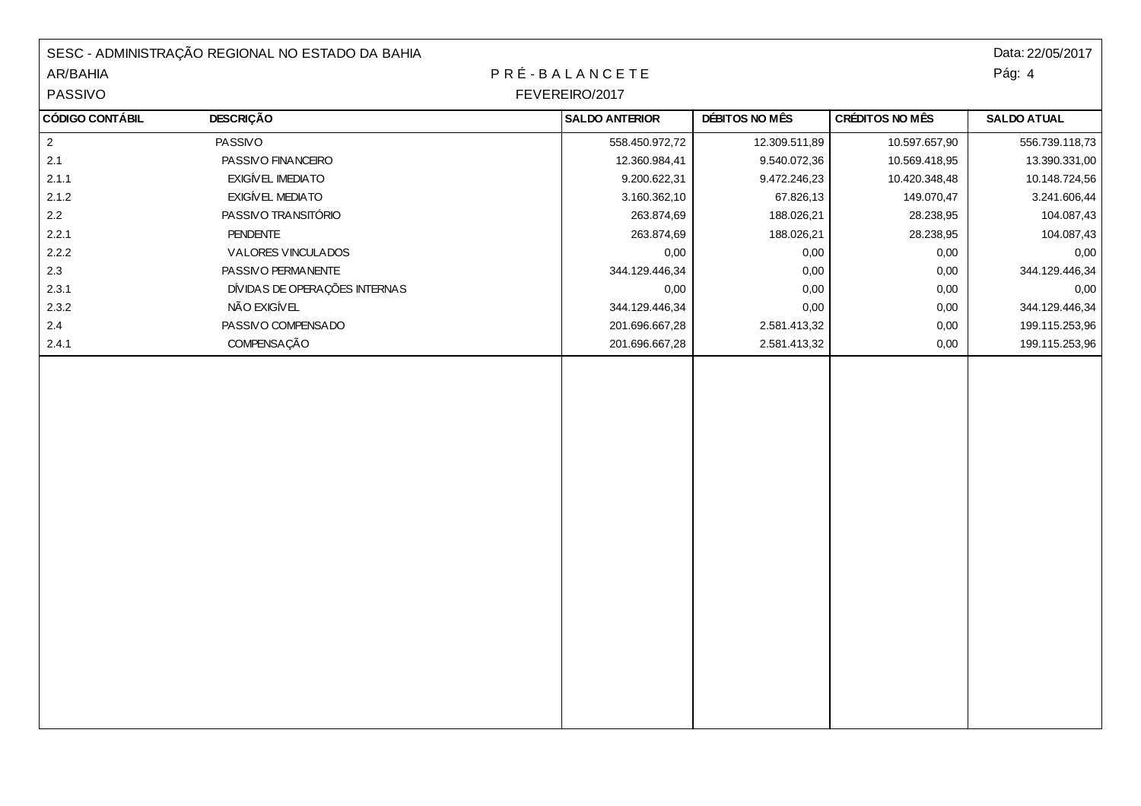|                        | SESC - ADMINISTRAÇÃO REGIONAL NO ESTADO DA BAHIA |  |                       |                |                 | Data: 22/05/2017   |
|------------------------|--------------------------------------------------|--|-----------------------|----------------|-----------------|--------------------|
| AR/BAHIA               |                                                  |  | PRÉ-BALANCETE         |                |                 | Pág: 4             |
| PASSIVO                | FEVEREIRO/2017                                   |  |                       |                |                 |                    |
| <b>CÓDIGO CONTÁBIL</b> | <b>DESCRIÇÃO</b>                                 |  | <b>SALDO ANTERIOR</b> | DÉBITOS NO MÊS | CRÉDITOS NO MÊS | <b>SALDO ATUAL</b> |
| $\mathbf{2}$           | PASSIVO                                          |  | 558.450.972,72        | 12.309.511,89  | 10.597.657,90   | 556.739.118,73     |
| 2.1                    | PASSIVO FINANCEIRO                               |  | 12.360.984,41         | 9.540.072,36   | 10.569.418,95   | 13.390.331,00      |
| 2.1.1                  | EXIGÍVEL IMEDIATO                                |  | 9.200.622,31          | 9.472.246,23   | 10.420.348,48   | 10.148.724,56      |
| 2.1.2                  | EXIGÍVEL MEDIATO                                 |  | 3.160.362,10          | 67.826,13      | 149.070,47      | 3.241.606,44       |
| $2.2\,$                | PASSIVO TRANSITÓRIO                              |  | 263.874,69            | 188.026,21     | 28.238,95       | 104.087,43         |
| 2.2.1                  | PENDENTE                                         |  | 263.874,69            | 188.026,21     | 28.238,95       | 104.087,43         |
| 2.2.2                  | VALORES VINCULADOS                               |  | 0,00                  | 0,00           | 0,00            | 0,00               |
| 2.3                    | PASSIVO PERMANENTE                               |  | 344.129.446,34        | 0,00           | 0,00            | 344.129.446,34     |
| 2.3.1                  | DÍVIDAS DE OPERAÇÕES INTERNAS                    |  | 0,00                  | 0,00           | 0,00            | 0,00               |
| 2.3.2                  | NÃO EXIGÍVEL                                     |  | 344.129.446,34        | 0,00           | 0,00            | 344.129.446,34     |
| $2.4\,$                | PASSIVO COMPENSADO                               |  | 201.696.667,28        | 2.581.413,32   | 0,00            | 199.115.253,96     |
| 2.4.1                  | COMPENSAÇÃO                                      |  | 201.696.667,28        | 2.581.413,32   | 0,00            | 199.115.253,96     |
|                        |                                                  |  |                       |                |                 |                    |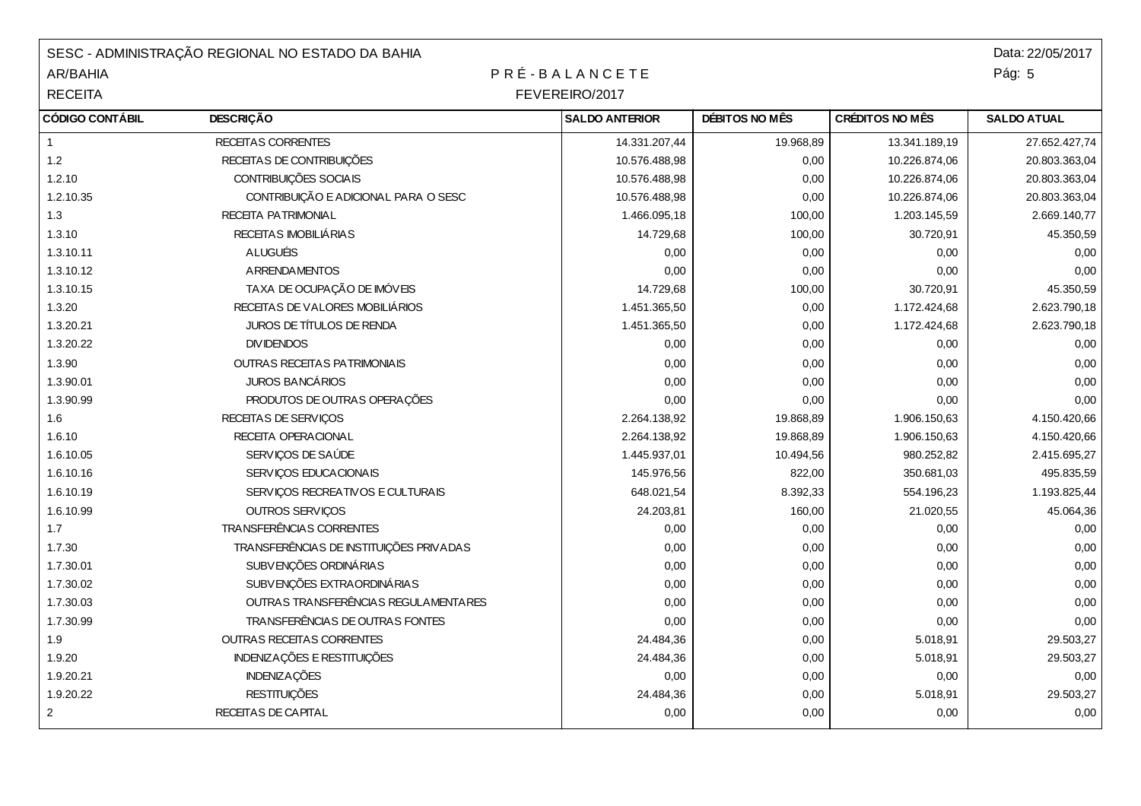| SESC - ADMINISTRAÇÃO REGIONAL NO ESTADO DA BAHIA |                                         |                       |                |                        | Data: 22/05/2017   |  |
|--------------------------------------------------|-----------------------------------------|-----------------------|----------------|------------------------|--------------------|--|
| AR/BAHIA                                         | PRÉ-BALANCETE                           |                       |                |                        |                    |  |
| <b>RECEITA</b>                                   | FEVEREIRO/2017                          |                       |                |                        |                    |  |
| <b>CÓDIGO CONTÁBIL</b>                           | <b>DESCRIÇÃO</b>                        | <b>SALDO ANTERIOR</b> | DÉBITOS NO MÊS | <b>CRÉDITOS NO MÊS</b> | <b>SALDO ATUAL</b> |  |
| $\mathbf{1}$                                     | RECEITAS CORRENTES                      | 14.331.207,44         | 19.968,89      | 13.341.189,19          | 27.652.427,74      |  |
| $1.2$                                            | RECEITAS DE CONTRIBUIÇÕES               | 10.576.488,98         | 0,00           | 10.226.874,06          | 20.803.363,04      |  |
| 1.2.10                                           | CONTRIBUIÇÕES SOCIAIS                   | 10.576.488,98         | 0,00           | 10.226.874,06          | 20.803.363,04      |  |
| 1.2.10.35                                        | CONTRIBUIÇÃO E ADICIONAL PARA O SESC    | 10.576.488,98         | 0,00           | 10.226.874,06          | 20.803.363,04      |  |
| 1.3                                              | RECEITA PATRIMONIAL                     | 1.466.095,18          | 100,00         | 1.203.145,59           | 2.669.140,77       |  |
| 1.3.10                                           | RECEITAS IMOBILIÁRIAS                   | 14.729,68             | 100,00         | 30.720,91              | 45.350,59          |  |
| 1.3.10.11                                        | <b>ALUGUÉIS</b>                         | 0,00                  | 0,00           | 0,00                   | 0,00               |  |
| 1.3.10.12                                        | <b>ARRENDAMENTOS</b>                    | 0,00                  | 0,00           | 0,00                   | 0,00               |  |
| 1.3.10.15                                        | TAXA DE OCUPAÇÃO DE IMÓVEIS             | 14.729,68             | 100,00         | 30.720,91              | 45.350,59          |  |
| 1.3.20                                           | RECEITAS DE VALORES MOBILIÁRIOS         | 1.451.365,50          | 0,00           | 1.172.424,68           | 2.623.790,18       |  |
| 1.3.20.21                                        | JUROS DE TÍTULOS DE RENDA               | 1.451.365,50          | 0,00           | 1.172.424,68           | 2.623.790,18       |  |
| 1.3.20.22                                        | <b>DIVIDENDOS</b>                       | 0,00                  | 0,00           | 0,00                   | 0,00               |  |
| 1.3.90                                           | <b>OUTRAS RECEITAS PATRIMONIAIS</b>     | 0,00                  | 0,00           | 0,00                   | 0,00               |  |
| 1.3.90.01                                        | JUROS BANCÁRIOS                         | 0,00                  | 0,00           | 0,00                   | 0,00               |  |
| 1.3.90.99                                        | PRODUTOS DE OUTRAS OPERAÇÕES            | 0,00                  | 0,00           | 0,00                   | 0,00               |  |
| 1.6                                              | RECEITAS DE SERVIÇOS                    | 2.264.138,92          | 19.868,89      | 1.906.150,63           | 4.150.420,66       |  |
| 1.6.10                                           | RECEITA OPERACIONAL                     | 2.264.138,92          | 19.868,89      | 1.906.150,63           | 4.150.420,66       |  |
| 1.6.10.05                                        | SERVIÇOS DE SAÚDE                       | 1.445.937,01          | 10.494,56      | 980.252,82             | 2.415.695,27       |  |
| 1.6.10.16                                        | SERVIÇOS EDUCACIONAIS                   | 145.976,56            | 822,00         | 350.681,03             | 495.835,59         |  |
| 1.6.10.19                                        | SERVIÇOS RECREATIVOS E CULTURAIS        | 648.021,54            | 8.392,33       | 554.196,23             | 1.193.825,44       |  |
| 1.6.10.99                                        | OUTROS SERVIÇOS                         | 24.203,81             | 160,00         | 21.020,55              | 45.064,36          |  |
| 1.7                                              | TRANSFERÊNCIAS CORRENTES                | 0,00                  | 0,00           | 0,00                   | 0,00               |  |
| 1.7.30                                           | TRANSFERÊNCIAS DE INSTITUIÇÕES PRIVADAS | 0,00                  | 0,00           | 0,00                   | 0,00               |  |
| 1.7.30.01                                        | SUBVENÇÕES ORDINÁRIAS                   | 0,00                  | 0,00           | 0,00                   | 0,00               |  |
| 1.7.30.02                                        | SUBVENÇÕES EXTRA ORDINÁRIAS             | 0,00                  | 0,00           | 0,00                   | 0,00               |  |
| 1.7.30.03                                        | OUTRAS TRANSFERÊNCIAS REGULAMENTARES    | 0,00                  | 0,00           | 0,00                   | 0,00               |  |
| 1.7.30.99                                        | TRANSFERÊNCIAS DE OUTRAS FONTES         | 0,00                  | 0,00           | 0,00                   | 0,00               |  |
| 1.9                                              | OUTRAS RECEITAS CORRENTES               | 24.484,36             | 0,00           | 5.018,91               | 29.503,27          |  |
| 1.9.20                                           | <b>INDENIZAÇÕES E RESTITUIÇÕES</b>      | 24.484,36             | 0,00           | 5.018,91               | 29.503,27          |  |
| 1.9.20.21                                        | <b>INDENIZAÇÕES</b>                     | 0,00                  | 0,00           | 0,00                   | 0,00               |  |
| 1.9.20.22                                        | <b>RESTITUIÇÕES</b>                     | 24.484,36             | 0,00           | 5.018,91               | 29.503,27          |  |
| $\overline{2}$                                   | RECEITAS DE CAPITAL                     | 0,00                  | 0,00           | 0,00                   | 0,00               |  |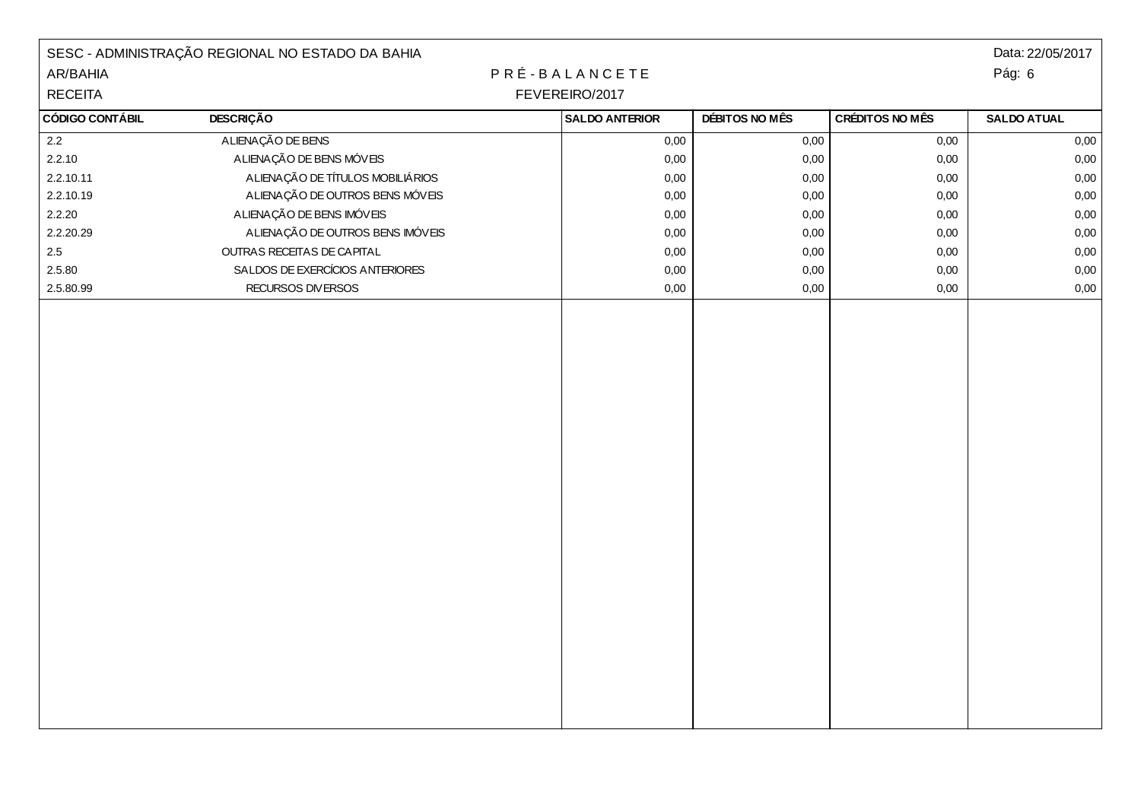|                        | SESC - ADMINISTRAÇÃO REGIONAL NO ESTADO DA BAHIA |                       |                |                 | Data: 22/05/2017   |
|------------------------|--------------------------------------------------|-----------------------|----------------|-----------------|--------------------|
| AR/BAHIA               |                                                  | PRÉ-BALANCETE         |                |                 | Pág: 6             |
| <b>RECEITA</b>         | FEVEREIRO/2017                                   |                       |                |                 |                    |
| <b>CÓDIGO CONTÁBIL</b> | <b>DESCRIÇÃO</b>                                 | <b>SALDO ANTERIOR</b> | DÉBITOS NO MÊS | CRÉDITOS NO MÊS | <b>SALDO ATUAL</b> |
| 2.2                    | ALIENAÇÃO DE BENS                                | 0,00                  | 0,00           | 0,00            | 0,00               |
| 2.2.10                 | A LIENAÇÃO DE BENS MÓVEIS                        | 0,00                  | 0,00           | 0,00            | 0,00               |
| 2.2.10.11              | ALIENAÇÃO DE TÍTULOS MOBILIÁRIOS                 | 0,00                  | 0,00           | 0,00            | $0,\!00$           |
| 2.2.10.19              | A LIENAÇÃO DE OUTROS BENS MÓVEIS                 | 0,00                  | 0,00           | 0,00            | $0,\!00$           |
| 2.2.20                 | A LIENAÇÃO DE BENS IMÓVEIS                       | 0,00                  | 0,00           | 0,00            | 0,00               |
| 2.2.20.29              | ALIENAÇÃO DE OUTROS BENS IMÓVEIS                 | 0,00                  | 0,00           | 0,00            | 0,00               |
| $2.5\,$                | OUTRAS RECEITAS DE CAPITAL                       | 0,00                  | $0,\!00$       | 0,00            | $0,\!00$           |
| 2.5.80                 | SALDOS DE EXERCÍCIOS ANTERIORES                  | 0,00                  | 0,00           | 0,00            | 0,00               |
| 2.5.80.99              | RECURSOS DIVERSOS                                | 0,00                  | $0,\!00$       | 0,00            | $0,\!00$           |
|                        |                                                  |                       |                |                 |                    |